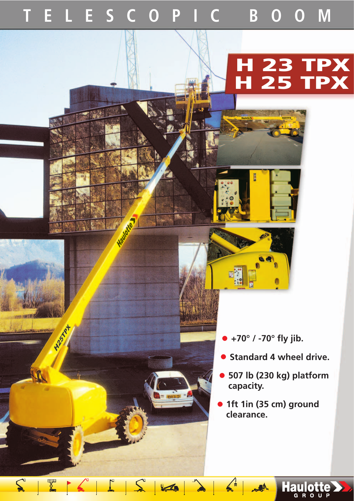## **TELESCOPIC BOOM**

**HISTORY** 

EXCILSIZED

## **H 23 TPX H 25 TPX**

- **+70° / -70° fly jib.**
- **Standard 4 wheel drive.**
- **507 lb (230 kg) platform capacity.**

Haulotte >

• **1ft 1in (35 cm) ground clearance.**

 $M_{\odot}$